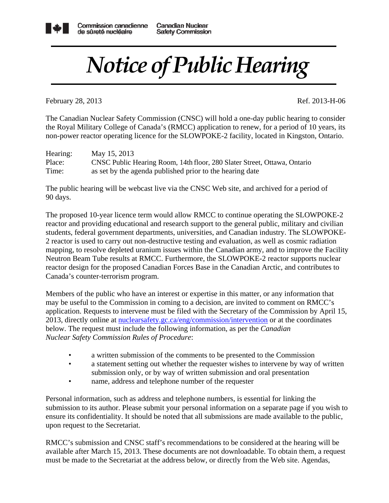

## *Notice of Public Hearing*

February 28, 2013 Ref. 2013-H-06

The Canadian Nuclear Safety Commission (CNSC) will hold a one-day public hearing to consider the Royal Military College of Canada's (RMCC) application to renew, for a period of 10 years, its non-power reactor operating licence for the SLOWPOKE-2 facility, located in Kingston, Ontario.

| Hearing: | May 15, 2013                                                             |
|----------|--------------------------------------------------------------------------|
| Place:   | CNSC Public Hearing Room, 14th floor, 280 Slater Street, Ottawa, Ontario |
| Time:    | as set by the agenda published prior to the hearing date                 |

The public hearing will be webcast live via the CNSC Web site, and archived for a period of 90 days.

The proposed 10-year licence term would allow RMCC to continue operating the SLOWPOKE-2 reactor and providing educational and research support to the general public, military and civilian students, federal government departments, universities, and Canadian industry. The SLOWPOKE-2 reactor is used to carry out non-destructive testing and evaluation, as well as cosmic radiation mapping, to resolve depleted uranium issues within the Canadian army, and to improve the Facility Neutron Beam Tube results at RMCC. Furthermore, the SLOWPOKE-2 reactor supports nuclear reactor design for the proposed Canadian Forces Base in the Canadian Arctic, and contributes to Canada's counter-terrorism program.

Members of the public who have an interest or expertise in this matter, or any information that may be useful to the Commission in coming to a decision, are invited to comment on RMCC's application. Requests to intervene must be filed with the Secretary of the Commission by April 15, 2013, directly online at nuclearsafety.gc.ca/eng/commission/intervention or at the coordinates below. The request must include the following information, as per the *Canadian Nuclear Safety Commission Rules of Procedure*:

- a written submission of the comments to be presented to the Commission
- a statement setting out whether the requester wishes to intervene by way of written submission only, or by way of written submission and oral presentation
- name, address and telephone number of the requester

Personal information, such as address and telephone numbers, is essential for linking the submission to its author. Please submit your personal information on a separate page if you wish to ensure its confidentiality. It should be noted that all submissions are made available to the public, upon request to the Secretariat.

RMCC's submission and CNSC staff's recommendations to be considered at the hearing will be available after March 15, 2013. These documents are not downloadable. To obtain them, a request must be made to the Secretariat at the address below, or directly from the Web site. Agendas,